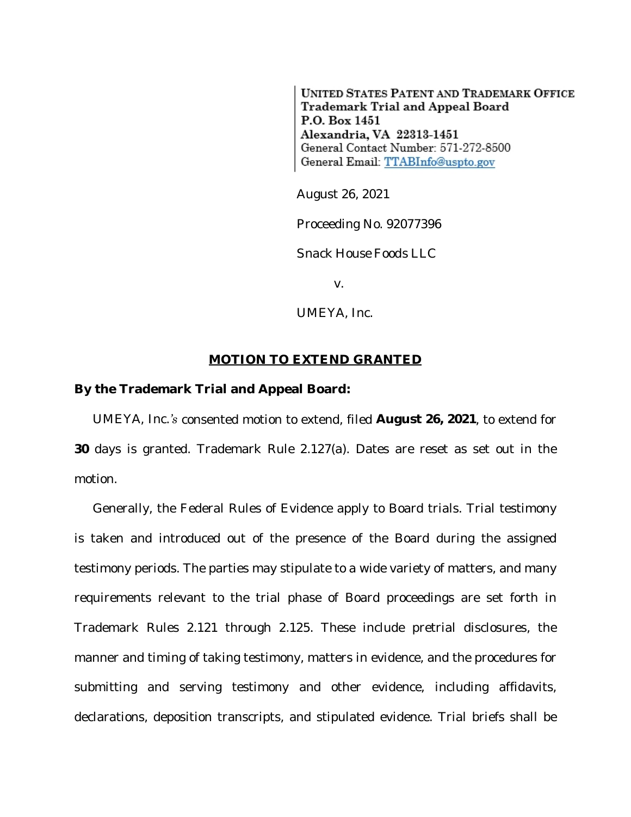**UNITED STATES PATENT AND TRADEMARK OFFICE** Trademark Trial and Appeal Board P.O. Box 1451 Alexandria, VA 22313-1451 General Contact Number: 571-272-8500 General Email: TTABInfo@uspto.gov

August 26, 2021

Proceeding No. 92077396

*Snack House Foods LLC*

v.

*UMEYA, Inc.*

## **MOTION TO EXTEND GRANTED**

## **By the Trademark Trial and Appeal Board:**

*UMEYA, Inc.'s* consented motion to extend, filed **August 26, 2021**, to extend for **30** days is granted. Trademark Rule 2.127(a). Dates are reset as set out in the motion.

Generally, the Federal Rules of Evidence apply to Board trials. Trial testimony is taken and introduced out of the presence of the Board during the assigned testimony periods. The parties may stipulate to a wide variety of matters, and many requirements relevant to the trial phase of Board proceedings are set forth in Trademark Rules 2.121 through 2.125. These include pretrial disclosures, the manner and timing of taking testimony, matters in evidence, and the procedures for submitting and serving testimony and other evidence, including affidavits, declarations, deposition transcripts, and stipulated evidence. Trial briefs shall be